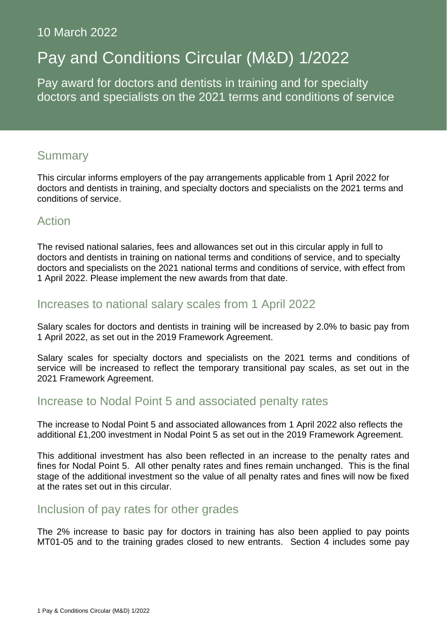## 10 March 2022

# Pay and Conditions Circular (M&D) 1/2022

Pay award for doctors and dentists in training and for specialty doctors and specialists on the 2021 terms and conditions of service

## Summary

This circular informs employers of the pay arrangements applicable from 1 April 2022 for doctors and dentists in training, and specialty doctors and specialists on the 2021 terms and conditions of service.

## Action

The revised national salaries, fees and allowances set out in this circular apply in full to doctors and dentists in training on national terms and conditions of service, and to specialty doctors and specialists on the 2021 national terms and conditions of service, with effect from 1 April 2022. Please implement the new awards from that date.

## Increases to national salary scales from 1 April 2022

Salary scales for doctors and dentists in training will be increased by 2.0% to basic pay from 1 April 2022, as set out in the 2019 Framework Agreement.

Salary scales for specialty doctors and specialists on the 2021 terms and conditions of service will be increased to reflect the temporary transitional pay scales, as set out in the 2021 Framework Agreement.

# Increase to Nodal Point 5 and associated penalty rates

The increase to Nodal Point 5 and associated allowances from 1 April 2022 also reflects the additional £1,200 investment in Nodal Point 5 as set out in the 2019 Framework Agreement.

This additional investment has also been reflected in an increase to the penalty rates and fines for Nodal Point 5. All other penalty rates and fines remain unchanged. This is the final stage of the additional investment so the value of all penalty rates and fines will now be fixed at the rates set out in this circular.

## Inclusion of pay rates for other grades

The 2% increase to basic pay for doctors in training has also been applied to pay points MT01-05 and to the training grades closed to new entrants. Section 4 includes some pay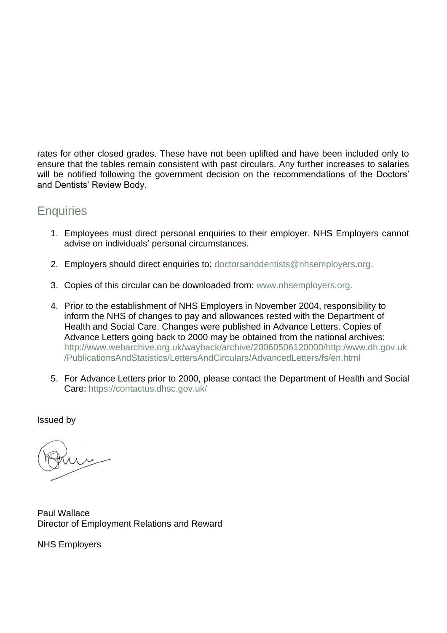rates for other closed grades. These have not been uplifted and have been included only to ensure that the tables remain consistent with past circulars. Any further increases to salaries will be notified following the government decision on the recommendations of the Doctors' and Dentists' Review Body.

# **Enquiries**

- 1. Employees must direct personal enquiries to their employer. NHS Employers cannot advise on individuals' personal circumstances.
- 2. Employers should direct enquiries to: [doctorsanddentists@nhsemployers.org.](mailto:doctorsanddentists@nhsemployers.org)
- 3. Copies of this circular can be downloaded from: [www.nhsemployers.org.](http://www.nhsemployers.org/)
- 4. Prior to the establishment of NHS Employers in November 2004, responsibility to inform the NHS of changes to pay and allowances rested with the Department of Health and Social Care. Changes were published in Advance Letters. Copies of Advance Letters going back to 2000 may be obtained from the national archives: [http://www.webarchive.org.uk/wayback/archive/20060506120000/http:/www.dh.gov.uk](http://www.webarchive.org.uk/wayback/archive/20060506120000/http:/www.dh.gov.uk/PublicationsAndStatistics/LettersAndCirculars/AdvancedLetters/fs/en.html) [/PublicationsAndStatistics/LettersAndCirculars/AdvancedLetters/fs/en.html](http://www.webarchive.org.uk/wayback/archive/20060506120000/http:/www.dh.gov.uk/PublicationsAndStatistics/LettersAndCirculars/AdvancedLetters/fs/en.html)
- 5. For Advance Letters prior to 2000, please contact the Department of Health and Social Care: <https://contactus.dhsc.gov.uk/>

Issued by

Paul Wallace Director of Employment Relations and Reward

NHS Employers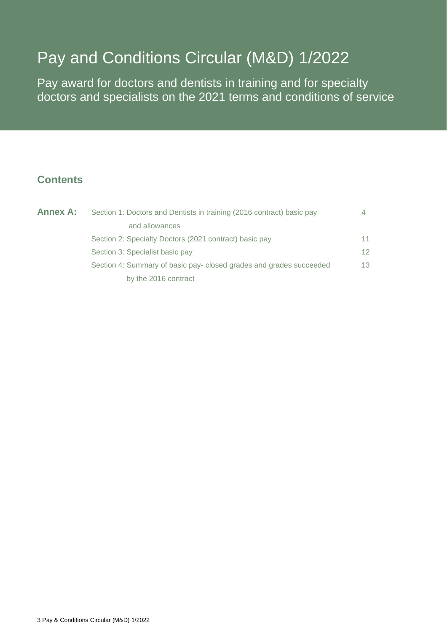# Pay and Conditions Circular (M&D) 1/2022

Pay award for doctors and dentists in training and for specialty doctors and specialists on the 2021 terms and conditions of service

## **Contents**

| <b>Annex A:</b> | Section 1: Doctors and Dentists in training (2016 contract) basic pay | 4  |  |
|-----------------|-----------------------------------------------------------------------|----|--|
|                 | and allowances                                                        |    |  |
|                 | Section 2: Specialty Doctors (2021 contract) basic pay                | 11 |  |
|                 | Section 3: Specialist basic pay                                       | 12 |  |
|                 | Section 4: Summary of basic pay-closed grades and grades succeeded    | 13 |  |
|                 | by the 2016 contract                                                  |    |  |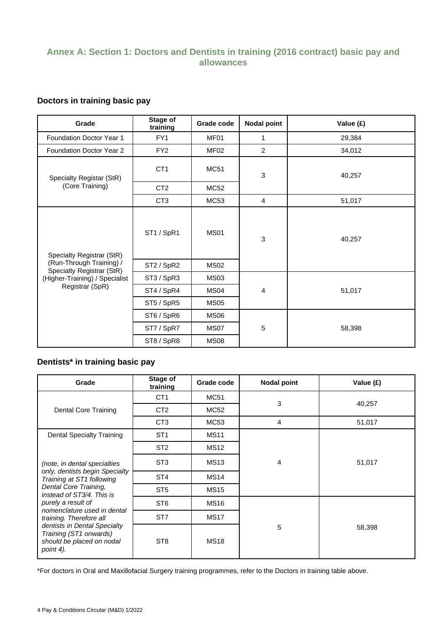## **Annex A: Section 1: Doctors and Dentists in training (2016 contract) basic pay and allowances**

### **Doctors in training basic pay**

| Grade                                                 | Stage of<br>training | Grade code       | <b>Nodal point</b> | Value (£) |        |
|-------------------------------------------------------|----------------------|------------------|--------------------|-----------|--------|
| Foundation Doctor Year 1                              | FY1                  | MF01             | 1                  | 29,384    |        |
| Foundation Doctor Year 2                              | FY <sub>2</sub>      | MF <sub>02</sub> | 2                  | 34,012    |        |
| Specialty Registar (StR)                              | CT <sub>1</sub>      | <b>MC51</b>      | $\mathfrak{Z}$     |           | 40,257 |
| (Core Training)                                       | CT <sub>2</sub>      | <b>MC52</b>      |                    |           |        |
|                                                       | CT <sub>3</sub>      | <b>MC53</b>      | $\overline{4}$     | 51,017    |        |
| Specialty Registrar (StR)                             | ST1 / SpR1           | <b>MS01</b>      | 3                  | 40,257    |        |
| (Run-Through Training) /<br>Specialty Registrar (StR) | ST2 / SpR2           | <b>MS02</b>      |                    |           |        |
| (Higher-Training) / Specialist                        | ST3 / SpR3           | MS <sub>03</sub> |                    |           |        |
| Registrar (SpR)                                       | ST4 / SpR4           | MS <sub>04</sub> | 4                  | 51,017    |        |
|                                                       | ST5 / SpR5           | MS <sub>05</sub> |                    |           |        |
|                                                       | ST6 / SpR6           | MS <sub>06</sub> |                    |           |        |
|                                                       | ST7 / SpR7           | MS07             | $\sqrt{5}$         | 58,398    |        |
|                                                       | ST8 / SpR8           | <b>MS08</b>      |                    |           |        |

## **Dentists\* in training basic pay**

| Grade                                                                                            | Stage of<br>training | Grade code  | <b>Nodal point</b> | Value (£) |
|--------------------------------------------------------------------------------------------------|----------------------|-------------|--------------------|-----------|
|                                                                                                  | CT <sub>1</sub>      | MC51        | 3                  | 40,257    |
| Dental Core Training                                                                             | CT <sub>2</sub>      | MC52        |                    |           |
|                                                                                                  | C <sub>T</sub> 3     | MC53        | 4                  | 51,017    |
| <b>Dental Specialty Training</b>                                                                 | ST <sub>1</sub>      | <b>MS11</b> |                    |           |
|                                                                                                  | ST <sub>2</sub>      | <b>MS12</b> | 4                  | 51,017    |
| (note, in dental specialties                                                                     | ST <sub>3</sub>      | <b>MS13</b> |                    |           |
| only, dentists begin Specialty<br>Training at ST1 following                                      | ST <sub>4</sub>      | <b>MS14</b> |                    |           |
| Dental Core Training,<br>instead of ST3/4. This is                                               | ST <sub>5</sub>      | <b>MS15</b> |                    |           |
| purely a result of<br>nomenclature used in dental                                                | ST <sub>6</sub>      | <b>MS16</b> |                    |           |
| training. Therefore all                                                                          | ST <sub>7</sub>      | <b>MS17</b> |                    |           |
| dentists in Dental Specialty<br>Training (ST1 onwards)<br>should be placed on nodal<br>point 4). | ST <sub>8</sub>      | <b>MS18</b> | 5                  | 58,398    |

\*For doctors in Oral and Maxillofacial Surgery training programmes, refer to the Doctors in training table above.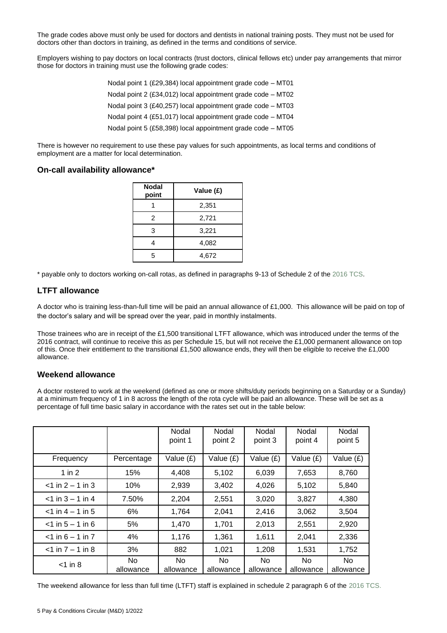The grade codes above must only be used for doctors and dentists in national training posts. They must not be used for doctors other than doctors in training, as defined in the terms and conditions of service.

Employers wishing to pay doctors on local contracts (trust doctors, clinical fellows etc) under pay arrangements that mirror those for doctors in training must use the following grade codes:

> Nodal point 1 (£29,384) local appointment grade code – MT01 Nodal point 2 (£34,012) local appointment grade code – MT02 Nodal point 3 (£40,257) local appointment grade code – MT03 Nodal point 4 (£51,017) local appointment grade code – MT04 Nodal point 5 (£58,398) local appointment grade code – MT05

There is however no requirement to use these pay values for such appointments, as local terms and conditions of employment are a matter for local determination.

#### **On-call availability allowance\***

| <b>Nodal</b><br>point | Value (£) |  |  |
|-----------------------|-----------|--|--|
|                       | 2,351     |  |  |
| 2                     | 2,721     |  |  |
| 3                     | 3,221     |  |  |
| 4                     | 4,082     |  |  |
| 5                     | 4,672     |  |  |

\* payable only to doctors working on-call rotas, as defined in paragraphs 9-13 of Schedule 2 of the [2016 TCS.](https://www.nhsemployers.org/publications/doctors-and-dentists-training-terms-and-conditions-england-2016)

#### **LTFT allowance**

A doctor who is training less-than-full time will be paid an annual allowance of £1,000. This allowance will be paid on top of the doctor's salary and will be spread over the year, paid in monthly instalments.

Those trainees who are in receipt of the £1,500 transitional LTFT allowance, which was introduced under the terms of the 2016 contract, will continue to receive this as per Schedule 15, but will not receive the £1,000 permanent allowance on top of this. Once their entitlement to the transitional £1,500 allowance ends, they will then be eligible to receive the £1,000 allowance.

#### **Weekend allowance**

A doctor rostered to work at the weekend (defined as one or more shifts/duty periods beginning on a Saturday or a Sunday) at a minimum frequency of 1 in 8 across the length of the rota cycle will be paid an allowance. These will be set as a percentage of full time basic salary in accordance with the rates set out in the table below:

|                     |                  | Nodal<br>point 1 | Nodal<br>point 2 | Nodal<br>point 3 | Nodal<br>point 4 | Nodal<br>point 5 |
|---------------------|------------------|------------------|------------------|------------------|------------------|------------------|
| Frequency           | Percentage       | Value (£)        | Value (£)        | Value (£)        | Value $(E)$      | Value $(E)$      |
| 1 in $2$            | 15%              | 4,408            | 5,102            | 6,039            | 7,653            | 8,760            |
| $<$ 1 in 2 – 1 in 3 | 10%              | 2,939            | 3,402            | 4,026            | 5,102            | 5,840            |
| $<$ 1 in 3 – 1 in 4 | 7.50%            | 2,204            | 2,551            | 3,020            | 3,827            | 4,380            |
| $<$ 1 in 4 – 1 in 5 | 6%               | 1,764            | 2,041            | 2,416            | 3,062            | 3,504            |
| $<$ 1 in 5 – 1 in 6 | 5%               | 1,470            | 1,701            | 2,013            | 2,551            | 2,920            |
| $<$ 1 in 6 – 1 in 7 | 4%               | 1,176            | 1,361            | 1,611            | 2,041            | 2,336            |
| $<$ 1 in 7 – 1 in 8 | 3%               | 882              | 1,021            | 1,208            | 1,531            | 1,752            |
| $<$ 1 in 8          | No.<br>allowance | No.<br>allowance | No.<br>allowance | No.<br>allowance | No.<br>allowance | No.<br>allowance |

The weekend allowance for less than full time (LTFT) staff is explained in schedule 2 paragraph 6 of the [2016 TCS.](https://www.nhsemployers.org/publications/doctors-and-dentists-training-terms-and-conditions-england-2016)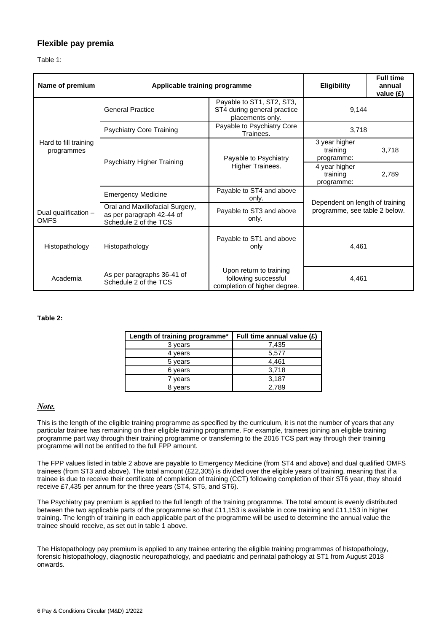#### **Flexible pay premia**

Table 1:

| Name of premium                     | Applicable training programme                                                         | <b>Eligibility</b>                                                              | <b>Full time</b><br>annual<br>value $(E)$                        |       |
|-------------------------------------|---------------------------------------------------------------------------------------|---------------------------------------------------------------------------------|------------------------------------------------------------------|-------|
|                                     | <b>General Practice</b>                                                               | Payable to ST1, ST2, ST3,<br>ST4 during general practice<br>placements only.    | 9,144                                                            |       |
|                                     | <b>Psychiatry Core Training</b>                                                       | Payable to Psychiatry Core<br>Trainees.                                         | 3,718                                                            |       |
| Hard to fill training<br>programmes |                                                                                       | Payable to Psychiatry                                                           | 3 year higher<br>training<br>programme:                          | 3,718 |
|                                     | Psychiatry Higher Training                                                            | Higher Trainees.                                                                | 4 year higher<br>training<br>programme:                          | 2,789 |
|                                     | <b>Emergency Medicine</b>                                                             | Payable to ST4 and above<br>only.                                               |                                                                  |       |
| Dual qualification -<br><b>OMFS</b> | Oral and Maxillofacial Surgery,<br>as per paragraph 42-44 of<br>Schedule 2 of the TCS | Payable to ST3 and above<br>only.                                               | Dependent on length of training<br>programme, see table 2 below. |       |
| Histopathology                      | Histopathology                                                                        | Payable to ST1 and above<br>only                                                | 4,461                                                            |       |
| Academia                            | As per paragraphs 36-41 of<br>Schedule 2 of the TCS                                   | Upon return to training<br>following successful<br>completion of higher degree. | 4,461                                                            |       |

#### **Table 2:**

| Length of training programme* | Full time annual value (£) |
|-------------------------------|----------------------------|
| 3 years                       | 7,435                      |
| 4 years                       | 5,577                      |
| 5 years                       | 4,461                      |
| 6 years                       | 3,718                      |
| vears                         | 3,187                      |
| vears                         | 2.789                      |

#### *Note.*

This is the length of the eligible training programme as specified by the curriculum, it is not the number of years that any particular trainee has remaining on their eligible training programme. For example, trainees joining an eligible training programme part way through their training programme or transferring to the 2016 TCS part way through their training programme will not be entitled to the full FPP amount.

The FPP values listed in table 2 above are payable to Emergency Medicine (from ST4 and above) and dual qualified OMFS trainees (from ST3 and above). The total amount (£22,305) is divided over the eligible years of training, meaning that if a trainee is due to receive their certificate of completion of training (CCT) following completion of their ST6 year, they should receive £7,435 per annum for the three years (ST4, ST5, and ST6).

The Psychiatry pay premium is applied to the full length of the training programme. The total amount is evenly distributed between the two applicable parts of the programme so that £11,153 is available in core training and £11,153 in higher training. The length of training in each applicable part of the programme will be used to determine the annual value the trainee should receive, as set out in table 1 above.

The Histopathology pay premium is applied to any trainee entering the eligible training programmes of histopathology, forensic histopathology, diagnostic neuropathology, and paediatric and perinatal pathology at ST1 from August 2018 onwards.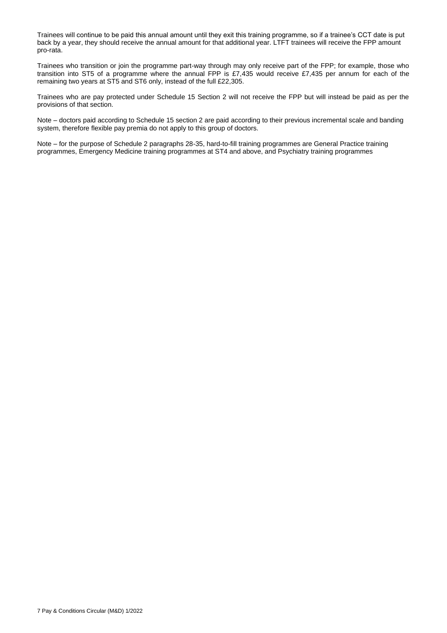Trainees will continue to be paid this annual amount until they exit this training programme, so if a trainee's CCT date is put back by a year, they should receive the annual amount for that additional year. LTFT trainees will receive the FPP amount pro-rata.

Trainees who transition or join the programme part-way through may only receive part of the FPP; for example, those who transition into ST5 of a programme where the annual FPP is £7,435 would receive £7,435 per annum for each of the remaining two years at ST5 and ST6 only, instead of the full £22,305.

Trainees who are pay protected under Schedule 15 Section 2 will not receive the FPP but will instead be paid as per the provisions of that section.

Note – doctors paid according to Schedule 15 section 2 are paid according to their previous incremental scale and banding system, therefore flexible pay premia do not apply to this group of doctors.

Note – for the purpose of Schedule 2 paragraphs 28-35, hard-to-fill training programmes are General Practice training programmes, Emergency Medicine training programmes at ST4 and above, and Psychiatry training programmes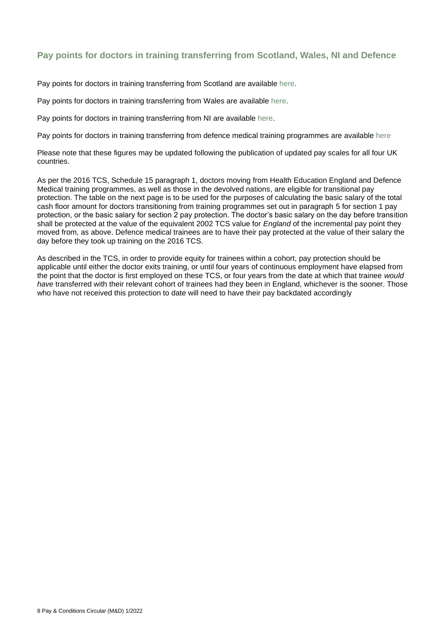## **Pay points for doctors in training transferring from Scotland, Wales, NI and Defence**

Pay points for doctors in training transferring from Scotland are available [here.](https://www.sehd.scot.nhs.uk/)

Pay points for doctors in training transferring from Wales are available [here.](http://www.wales.nhs.uk/nhswalesaboutus/workingfornhswales/payconditions/payandconditionsresources)

Pay points for doctors in training transferring from NI are available [here.](https://www.health-ni.gov.uk/publications/workforce-policy-guidance-2020)

Pay points for doctors in training transferring from defence medical training programmes are available [here](https://www.gov.uk/government/organisations/armed-forces-pay-review-body)

Please note that these figures may be updated following the publication of updated pay scales for all four UK countries.

As per the 2016 TCS, Schedule 15 paragraph 1, doctors moving from Health Education England and Defence Medical training programmes, as well as those in the devolved nations, are eligible for transitional pay protection. The table on the next page is to be used for the purposes of calculating the basic salary of the total cash floor amount for doctors transitioning from training programmes set out in paragraph 5 for section 1 pay protection, or the basic salary for section 2 pay protection. The doctor's basic salary on the day before transition shall be protected at the value of the equivalent 2002 TCS value for *England* of the incremental pay point they moved from, as above. Defence medical trainees are to have their pay protected at the value of their salary the day before they took up training on the 2016 TCS.

As described in the TCS, in order to provide equity for trainees within a cohort, pay protection should be applicable until either the doctor exits training, or until four years of continuous employment have elapsed from the point that the doctor is first employed on these TCS, or four years from the date at which that trainee *would have* transferred with their relevant cohort of trainees had they been in England, whichever is the sooner. Those who have not received this protection to date will need to have their pay backdated accordingly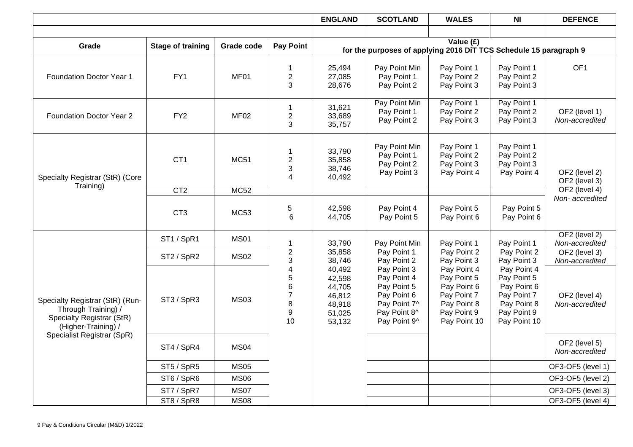|                                                                                                            |                                    |                  |                                    | <b>ENGLAND</b>                                                     | <b>SCOTLAND</b>                                                                                          | <b>WALES</b>                                                                                           | <b>NI</b>                                                                                              | <b>DEFENCE</b>                  |
|------------------------------------------------------------------------------------------------------------|------------------------------------|------------------|------------------------------------|--------------------------------------------------------------------|----------------------------------------------------------------------------------------------------------|--------------------------------------------------------------------------------------------------------|--------------------------------------------------------------------------------------------------------|---------------------------------|
|                                                                                                            |                                    |                  |                                    |                                                                    |                                                                                                          |                                                                                                        |                                                                                                        |                                 |
| Grade                                                                                                      | <b>Stage of training</b>           | Grade code       | <b>Pay Point</b>                   |                                                                    |                                                                                                          | Value (£)                                                                                              |                                                                                                        |                                 |
|                                                                                                            |                                    |                  |                                    |                                                                    | for the purposes of applying 2016 DiT TCS Schedule 15 paragraph 9                                        |                                                                                                        |                                                                                                        |                                 |
| Foundation Doctor Year 1                                                                                   | FY1                                | MF01             | $\mathbf 1$<br>$\overline{c}$<br>3 | 25,494<br>27,085<br>28,676                                         | Pay Point Min<br>Pay Point 1<br>Pay Point 2                                                              | Pay Point 1<br>Pay Point 2<br>Pay Point 3                                                              | Pay Point 1<br>Pay Point 2<br>Pay Point 3                                                              | OF <sub>1</sub>                 |
| Foundation Doctor Year 2                                                                                   | FY <sub>2</sub>                    | MF <sub>02</sub> | -1<br>$\overline{c}$<br>3          | 31,621<br>33,689<br>35,757                                         | Pay Point Min<br>Pay Point 1<br>Pay Point 2                                                              | Pay Point 1<br>Pay Point 2<br>Pay Point 3                                                              | Pay Point 1<br>Pay Point 2<br>Pay Point 3                                                              | OF2 (level 1)<br>Non-accredited |
| Specialty Registrar (StR) (Core                                                                            | CT <sub>1</sub>                    | <b>MC51</b>      | 1<br>$\overline{c}$<br>3<br>4      | 33,790<br>35,858<br>38,746<br>40,492                               | Pay Point Min<br>Pay Point 1<br>Pay Point 2<br>Pay Point 3                                               | Pay Point 1<br>Pay Point 2<br>Pay Point 3<br>Pay Point 4                                               | Pay Point 1<br>Pay Point 2<br>Pay Point 3<br>Pay Point 4                                               | OF2 (level 2)<br>OF2 (level 3)  |
| Training)                                                                                                  | CT2                                | MC52             |                                    |                                                                    |                                                                                                          |                                                                                                        |                                                                                                        | OF2 (level 4)                   |
|                                                                                                            | CT <sub>3</sub>                    | <b>MC53</b>      | 5<br>6                             | 42,598<br>44,705                                                   | Pay Point 4<br>Pay Point 5                                                                               | Pay Point 5<br>Pay Point 6                                                                             | Pay Point 5<br>Pay Point 6                                                                             | Non-accredited                  |
|                                                                                                            | ST1 / SpR1                         | <b>MS01</b>      | 1                                  | 33,790                                                             | Pay Point Min                                                                                            | Pay Point 1                                                                                            | Pay Point 1                                                                                            | OF2 (level 2)<br>Non-accredited |
|                                                                                                            | ST <sub>2</sub> / SpR <sub>2</sub> | <b>MS02</b>      | $\overline{\mathbf{c}}$<br>3       | 35,858<br>38,746                                                   | Pay Point 1<br>Pay Point 2                                                                               | Pay Point 2<br>Pay Point 3                                                                             | Pay Point 2<br>Pay Point 3                                                                             | OF2 (level 3)<br>Non-accredited |
| Specialty Registrar (StR) (Run-<br>Through Training) /<br>Specialty Registrar (StR)<br>(Higher-Training) / | ST3 / SpR3                         | <b>MS03</b>      | 4<br>5<br>6<br>7<br>8<br>9<br>10   | 40,492<br>42,598<br>44,705<br>46,812<br>48,918<br>51,025<br>53,132 | Pay Point 3<br>Pay Point 4<br>Pay Point 5<br>Pay Point 6<br>Pay Point 7^<br>Pay Point 8^<br>Pay Point 9^ | Pay Point 4<br>Pay Point 5<br>Pay Point 6<br>Pay Point 7<br>Pay Point 8<br>Pay Point 9<br>Pay Point 10 | Pay Point 4<br>Pay Point 5<br>Pay Point 6<br>Pay Point 7<br>Pay Point 8<br>Pay Point 9<br>Pay Point 10 | OF2 (level 4)<br>Non-accredited |
| Specialist Registrar (SpR)                                                                                 | ST4 / SpR4                         | <b>MS04</b>      |                                    |                                                                    |                                                                                                          |                                                                                                        |                                                                                                        | OF2 (level 5)<br>Non-accredited |
|                                                                                                            | ST5 / SpR5                         | <b>MS05</b>      |                                    |                                                                    |                                                                                                          |                                                                                                        |                                                                                                        | OF3-OF5 (level 1)               |
|                                                                                                            | ST6 / SpR6                         | <b>MS06</b>      |                                    |                                                                    |                                                                                                          |                                                                                                        |                                                                                                        | OF3-OF5 (level 2)               |
|                                                                                                            | ST7 / SpR7                         | <b>MS07</b>      |                                    |                                                                    |                                                                                                          |                                                                                                        |                                                                                                        | OF3-OF5 (level 3)               |
|                                                                                                            | ST8 / SpR8                         | <b>MS08</b>      |                                    |                                                                    |                                                                                                          |                                                                                                        |                                                                                                        | OF3-OF5 (level 4)               |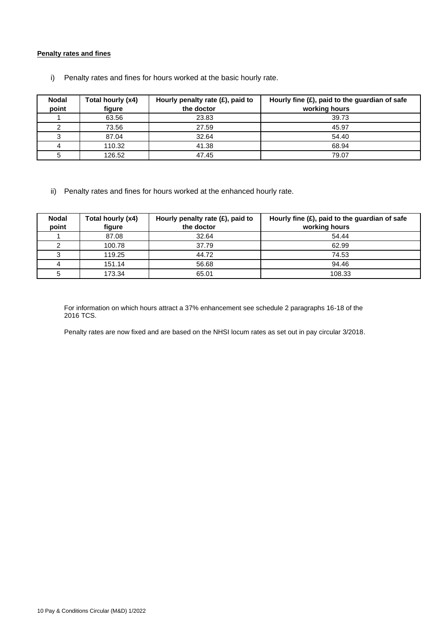#### **Penalty rates and fines**

| <b>Nodal</b> | Total hourly (x4) | Hourly penalty rate $(E)$ , paid to | Hourly fine $(E)$ , paid to the guardian of safe |
|--------------|-------------------|-------------------------------------|--------------------------------------------------|
| point        | figure            | the doctor                          | working hours                                    |
|              | 63.56             | 23.83                               | 39.73                                            |
|              | 73.56             | 27.59                               | 45.97                                            |
|              | 87.04             | 32.64                               | 54.40                                            |
| 4            | 110.32            | 41.38                               | 68.94                                            |
|              | 126.52            | 47.45                               | 79.07                                            |

i) Penalty rates and fines for hours worked at the basic hourly rate.

ii) Penalty rates and fines for hours worked at the enhanced hourly rate.

| <b>Nodal</b><br>point | Total hourly (x4)<br>figure | Hourly penalty rate $(E)$ , paid to<br>the doctor | Hourly fine $(E)$ , paid to the guardian of safe<br>working hours |
|-----------------------|-----------------------------|---------------------------------------------------|-------------------------------------------------------------------|
|                       | 87.08                       | 32.64                                             | 54.44                                                             |
|                       | 100.78                      | 37.79                                             | 62.99                                                             |
|                       | 119.25                      | 44.72                                             | 74.53                                                             |
|                       | 151.14                      | 56.68                                             | 94.46                                                             |
|                       | 173.34                      | 65.01                                             | 108.33                                                            |

For information on which hours attract a 37% enhancement see schedule 2 paragraphs 16-18 of the 2016 TCS.

Penalty rates are now fixed and are based on the NHSI locum rates as set out in pay circular 3/2018.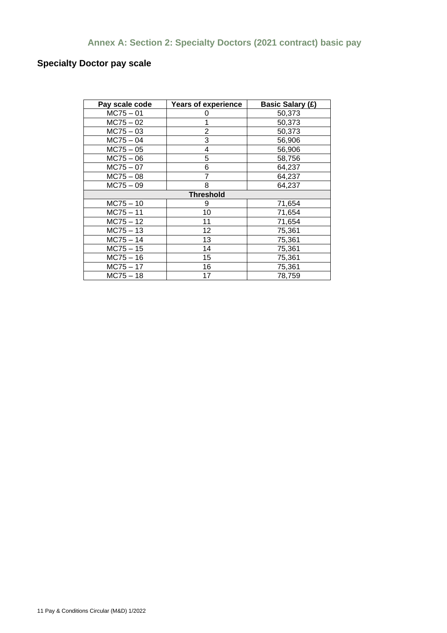## **Annex A: Section 2: Specialty Doctors (2021 contract) basic pay**

## **Specialty Doctor pay scale**

| Pay scale code   | <b>Years of experience</b> | <b>Basic Salary (£)</b> |  |  |  |  |
|------------------|----------------------------|-------------------------|--|--|--|--|
| $MC75 - 01$      |                            | 50,373                  |  |  |  |  |
| $MC75 - 02$      |                            | 50,373                  |  |  |  |  |
| $MC75 - 03$      | 2                          | 50,373                  |  |  |  |  |
| $MC75 - 04$      | 3                          | 56,906                  |  |  |  |  |
| $MC75 - 05$      | 4                          | 56,906                  |  |  |  |  |
| $MC75 - 06$      | 5                          | 58,756                  |  |  |  |  |
| $MC75 - 07$      | 6                          | 64,237                  |  |  |  |  |
| $MC75 - 08$      |                            | 64,237                  |  |  |  |  |
| $MC75 - 09$      | 8                          | 64,237                  |  |  |  |  |
| <b>Threshold</b> |                            |                         |  |  |  |  |
| $MC75 - 10$      | 9                          | 71,654                  |  |  |  |  |
| $MC75 - 11$      | 10                         | 71,654                  |  |  |  |  |
| $MC75 - 12$      | 11                         | 71,654                  |  |  |  |  |
| $MC75 - 13$      | 12                         | 75,361                  |  |  |  |  |
| $MC75 - 14$      | 13                         | 75,361                  |  |  |  |  |
| $MC75 - 15$      | 14                         | 75,361                  |  |  |  |  |
| $MC75 - 16$      | 15                         | 75,361                  |  |  |  |  |
| $MC75 - 17$      | 16                         | 75,361                  |  |  |  |  |
| $MC75 - 18$      | 17                         | 78,759                  |  |  |  |  |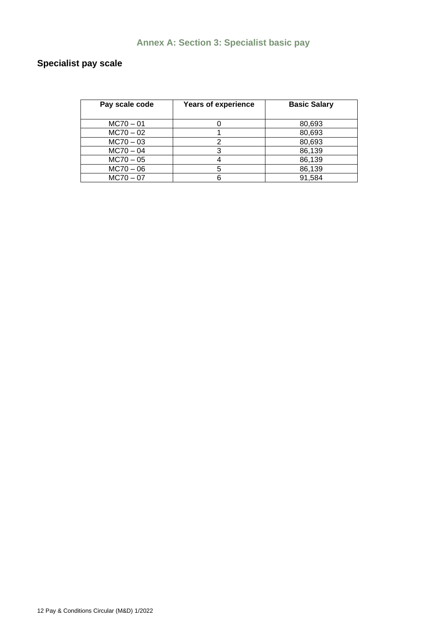# **Annex A: Section 3: Specialist basic pay**

## **Specialist pay scale**

| Pay scale code | <b>Years of experience</b> | <b>Basic Salary</b> |
|----------------|----------------------------|---------------------|
|                |                            |                     |
| $MC70 - 01$    |                            | 80,693              |
| $MC70 - 02$    |                            | 80,693              |
| $MC70 - 03$    |                            | 80,693              |
| $MC70 - 04$    |                            | 86,139              |
| $MC70 - 05$    |                            | 86,139              |
| $MC70 - 06$    |                            | 86,139              |
| $MC70 - 07$    |                            | 91,584              |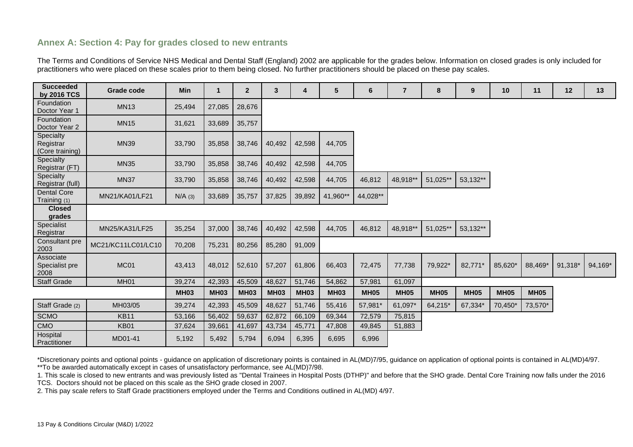### **Annex A: Section 4: Pay for grades closed to new entrants**

The Terms and Conditions of Service NHS Medical and Dental Staff (England) 2002 are applicable for the grades below. Information on closed grades is only included for practitioners who were placed on these scales prior to them being closed. No further practitioners should be placed on these pay scales.

| <b>Succeeded</b><br>by 2016 TCS           | Grade code         | <b>Min</b>  | $\mathbf 1$ | $\overline{2}$ | 3           | 4           | 5           | 6           | $\overline{7}$ | 8           | 9           | 10          | 11          | 12      | 13      |
|-------------------------------------------|--------------------|-------------|-------------|----------------|-------------|-------------|-------------|-------------|----------------|-------------|-------------|-------------|-------------|---------|---------|
| Foundation<br>Doctor Year 1               | <b>MN13</b>        | 25,494      | 27,085      | 28,676         |             |             |             |             |                |             |             |             |             |         |         |
| Foundation<br>Doctor Year 2               | <b>MN15</b>        | 31,621      | 33,689      | 35,757         |             |             |             |             |                |             |             |             |             |         |         |
| Specialty<br>Registrar<br>(Core training) | <b>MN39</b>        | 33,790      | 35,858      | 38,746         | 40,492      | 42,598      | 44,705      |             |                |             |             |             |             |         |         |
| Specialty<br>Registrar (FT)               | <b>MN35</b>        | 33,790      | 35,858      | 38,746         | 40,492      | 42,598      | 44,705      |             |                |             |             |             |             |         |         |
| Specialty<br>Registrar (full)             | <b>MN37</b>        | 33,790      | 35,858      | 38,746         | 40,492      | 42,598      | 44,705      | 46,812      | 48,918**       | 51,025**    | 53,132**    |             |             |         |         |
| <b>Dental Core</b><br>Training (1)        | MN21/KA01/LF21     | $N/A$ (3)   | 33,689      | 35,757         | 37,825      | 39,892      | 41,960**    | 44,028**    |                |             |             |             |             |         |         |
| <b>Closed</b><br>grades                   |                    |             |             |                |             |             |             |             |                |             |             |             |             |         |         |
| Specialist<br>Registrar                   | MN25/KA31/LF25     | 35,254      | 37,000      | 38,746         | 40,492      | 42,598      | 44,705      | 46,812      | 48,918**       | 51,025**    | 53,132**    |             |             |         |         |
| Consultant pre<br>2003                    | MC21/KC11LC01/LC10 | 70,208      | 75,231      | 80,256         | 85,280      | 91,009      |             |             |                |             |             |             |             |         |         |
| Associate<br>Specialist pre<br>2008       | MC <sub>01</sub>   | 43,413      | 48,012      | 52,610         | 57,207      | 61,806      | 66,403      | 72,475      | 77,738         | 79,922*     | 82,771*     | 85,620*     | 88,469*     | 91,318* | 94.169* |
| <b>Staff Grade</b>                        | MH <sub>01</sub>   | 39,274      | 42,393      | 45,509         | 48,627      | 51,746      | 54,862      | 57,981      | 61,097         |             |             |             |             |         |         |
|                                           |                    | <b>MH03</b> | <b>MH03</b> | <b>MH03</b>    | <b>MH03</b> | <b>MH03</b> | <b>MH03</b> | <b>MH05</b> | <b>MH05</b>    | <b>MH05</b> | <b>MH05</b> | <b>MH05</b> | <b>MH05</b> |         |         |
| Staff Grade (2)                           | MH03/05            | 39,274      | 42,393      | 45,509         | 48,627      | 51,746      | 55,416      | 57,981*     | 61,097*        | 64,215*     | 67,334*     | 70,450*     | 73,570*     |         |         |
| <b>SCMO</b>                               | <b>KB11</b>        | 53,166      | 56,402      | 59,637         | 62,872      | 66,109      | 69,344      | 72,579      | 75,815         |             |             |             |             |         |         |
| CMO                                       | <b>KB01</b>        | 37,624      | 39,661      | 41,697         | 43,734      | 45,771      | 47,808      | 49,845      | 51,883         |             |             |             |             |         |         |
| Hospital<br>Practitioner                  | MD01-41            | 5,192       | 5,492       | 5,794          | 6,094       | 6,395       | 6,695       | 6,996       |                |             |             |             |             |         |         |

\*Discretionary points and optional points - guidance on application of discretionary points is contained in AL(MD)7/95, guidance on application of optional points is contained in AL(MD)4/97. \*\*To be awarded automatically except in cases of unsatisfactory performance, see AL(MD)7/98.

1. This scale is closed to new entrants and was previously listed as "Dental Trainees in Hospital Posts (DTHP)" and before that the SHO grade. Dental Core Training now falls under the 2016 TCS. Doctors should not be placed on this scale as the SHO grade closed in 2007.

2. This pay scale refers to Staff Grade practitioners employed under the Terms and Conditions outlined in AL(MD) 4/97.